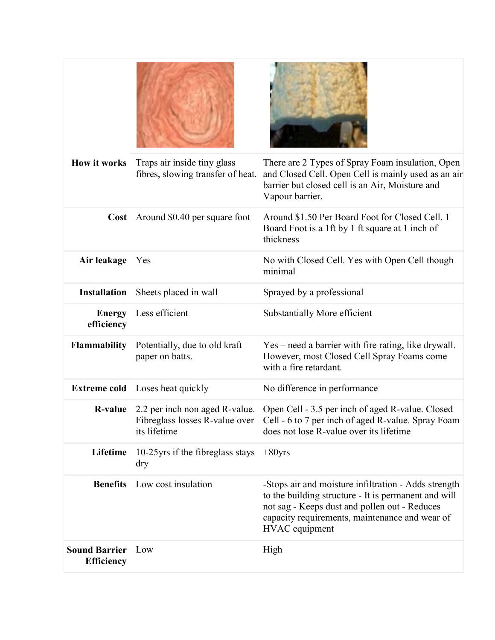| <b>How it works</b>                           | Traps air inside tiny glass<br>fibres, slowing transfer of heat. | There are 2 Types of Spray Foam insulation, Open<br>and Closed Cell. Open Cell is mainly used as an air<br>barrier but closed cell is an Air, Moisture and                                                                        |
|-----------------------------------------------|------------------------------------------------------------------|-----------------------------------------------------------------------------------------------------------------------------------------------------------------------------------------------------------------------------------|
|                                               |                                                                  | Vapour barrier.                                                                                                                                                                                                                   |
|                                               | <b>Cost</b> Around \$0.40 per square foot                        | Around \$1.50 Per Board Foot for Closed Cell. 1<br>Board Foot is a 1ft by 1 ft square at 1 inch of<br>thickness                                                                                                                   |
| Air leakage                                   | Yes                                                              | No with Closed Cell. Yes with Open Cell though<br>minimal                                                                                                                                                                         |
| <b>Installation</b>                           | Sheets placed in wall                                            | Sprayed by a professional                                                                                                                                                                                                         |
| <b>Energy</b><br>efficiency                   | Less efficient                                                   | Substantially More efficient                                                                                                                                                                                                      |
| <b>Flammability</b>                           | Potentially, due to old kraft<br>paper on batts.                 | Yes – need a barrier with fire rating, like drywall.<br>However, most Closed Cell Spray Foams come<br>with a fire retardant.                                                                                                      |
|                                               | <b>Extreme cold</b> Loses heat quickly                           | No difference in performance                                                                                                                                                                                                      |
| <b>R-value</b>                                | its lifetime                                                     | 2.2 per inch non aged R-value. Open Cell - 3.5 per inch of aged R-value. Closed<br>Fibreglass losses R-value over Cell - 6 to 7 per inch of aged R-value. Spray Foam<br>does not lose R-value over its lifetime                   |
| Lifetime                                      | 10-25 yrs if the fibreglass stays $+80$ yrs<br>dry               |                                                                                                                                                                                                                                   |
| <b>Benefits</b>                               | Low cost insulation                                              | -Stops air and moisture infiltration - Adds strength<br>to the building structure - It is permanent and will<br>not sag - Keeps dust and pollen out - Reduces<br>capacity requirements, maintenance and wear of<br>HVAC equipment |
| <b>Sound Barrier</b> Low<br><b>Efficiency</b> |                                                                  | High                                                                                                                                                                                                                              |